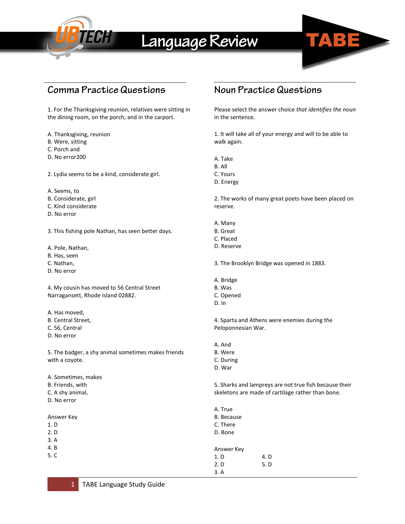

# **Language Review**



## **Comma Practice Questions**

1. For the Thanksgiving reunion, relatives were sitting in the dining room, on the porch, and in the carport.

A. Thanksgiving, reunion B. Were, sitting

- C. Porch and
- D. No error200

2. Lydia seems to be a kind, considerate girl.

- A. Seems, to
- B. Considerate, girl
- C. Kind considerate
- D. No error

3. This fishing pole Nathan, has seen better days.

- A. Pole, Nathan,
- B. Has, seen
- C. Nathan,
- D. No error

4. My cousin has moved to 56 Central Street Narragansett, Rhode Island 02882.

- A. Has moved, B. Central Street, C. 56, Central
- D. No error

5. The badger, a shy animal sometimes makes friends with a coyote.

- A. Sometimes, makes
- B. Friends, with
- C. A shy animal,
- D. No error

#### Answer Key

- 1. D
- 2. D
- 3. A 4. B
- 5. C

## **Noun Practice Questions**

Please select the answer choice *that identifies the noun* in the sentence.

1. It will take all of your energy and will to be able to walk again.

- A. Take
- B. All
- C. Yours
- D. Energy

2. The works of many great poets have been placed on reserve.

- A. Many
- B. Great
- C. Placed
- D. Reserve

3. The Brooklyn Bridge was opened in 1883.

- A. Bridge
- B. Was
- C. Opened
- D. In

4. Sparta and Athens were enemies during the Peloponnesian War.

- A. And
- B. Were
- C. During
- D. War

5. Sharks and lampreys are not true fish because their skeletons are made of cartilage rather than bone.

A. True B. Because C. There D. Bone Answer Key 1. D 4. D 2. D 5. D 3. A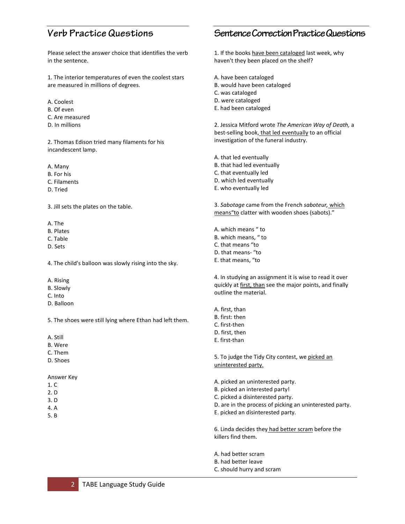## **Verb Practice Questions**

Please select the answer choice that identifies the verb in the sentence.

1. The interior temperatures of even the coolest stars are measured in millions of degrees.

- A. Coolest
- B. Of even
- C. Are measured
- D. In millions

2. Thomas Edison tried many filaments for his incandescent lamp.

- A. Many
- B. For his
- C. Filaments
- D. Tried

3. Jill sets the plates on the table.

- A. The
- B. Plates
- C. Table
- D. Sets

4. The child's balloon was slowly rising into the sky.

- A. Rising
- B. Slowly
- C. Into
- D. Balloon

5. The shoes were still lying where Ethan had left them.

A. Still

- B. Were
- C. Them
- D. Shoes

Answer Key

- 1. C
- 2. D
- 3. D 4. A
- 
- 5. B

### **Sentence Correction Practice Questions**

1. If the books have been cataloged last week, why haven't they been placed on the shelf?

A. have been cataloged B. would have been cataloged C. was cataloged D. were cataloged E. had been cataloged

2. Jessica Mitford wrote *The American Way of Death,* a best-selling book, that led eventually to an official investigation of the funeral industry.

A. that led eventually B. that had led eventually C. that eventually led D. which led eventually E. who eventually led

3. *Sabotage* came from the French *saboteur,* which means"to clatter with wooden shoes (sabots)."

A. which means " to B. which means, " to C. that means "to D. that means- "to E. that means, "to

4. In studying an assignment it is wise to read it over quickly at first, than see the major points, and finally outline the material.

A. first, than B. first: then C. first-then D. first, then E. first-than

5. To judge the Tidy City contest, we picked an uninterested party.

A. picked an uninterested party.

- B. picked an interested party!
- C. picked a disinterested party.
- D. are in the process of picking an uninterested party.
- E. picked an disinterested party.

6. Linda decides they had better scram before the killers find them.

A. had better scram

- B. had better leave
- C. should hurry and scram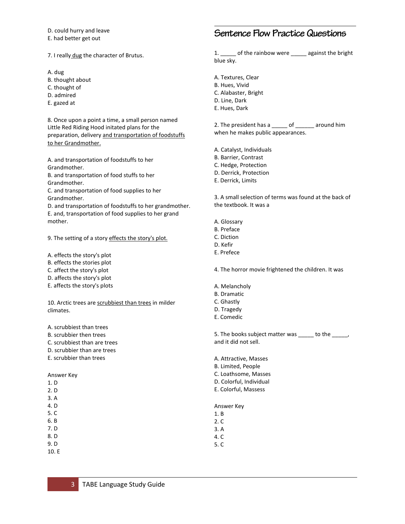D. could hurry and leave E. had better get out

7. I really dug the character of Brutus.

A. dug

B. thought about

C. thought of

D. admired

E. gazed at

8. Once upon a point a time, a small person named Little Red Riding Hood initated plans for the preparation, delivery and transportation of foodstuffs to her Grandmother.

A. and transportation of foodstuffs to her Grandmother.

B. and transportation of food stuffs to her Grandmother.

C. and transportation of food supplies to her Grandmother.

D. and transportation of foodstuffs to her grandmother. E. and, transportation of food supplies to her grand mother.

9. The setting of a story effects the story's plot.

A. effects the story's plot

B. effects the stories plot

C. affect the story's plot

D. affects the story's plot

E. affects the story's plots

10. Arctic trees are scrubbiest than trees in milder climates.

A. scrubbiest than trees

- B. scrubbier then trees
- C. scrubbiest than are trees
- D. scrubbier than are trees
- E. scrubbier than trees

Answer Key

| I | ۰, |
|---|----|
|   |    |

2. D

3. A 4. D

5. C

6. B

7. D

8. D

9. D

10. E

## **Sentence Flow Practice Questions**

1. \_\_\_\_\_ of the rainbow were \_\_\_\_\_ against the bright blue sky.

A. Textures, Clear B. Hues, Vivid

- C. Alabaster, Bright
- D. Line, Dark
- E. Hues, Dark

2. The president has a \_\_\_\_\_ of \_\_\_\_\_\_ around him when he makes public appearances.

A. Catalyst, Individuals

- B. Barrier, Contrast
- C. Hedge, Protection
- D. Derrick, Protection
- E. Derrick, Limits

3. A small selection of terms was found at the back of the textbook. It was a

- A. Glossary
- B. Preface
- C. Diction
- D. Kefir
- E. Prefece

4. The horror movie frightened the children. It was

- A. Melancholy
- B. Dramatic
- C. Ghastly
- D. Tragedy
- E. Comedic

5. The books subject matter was \_\_\_\_\_ to the \_\_\_\_\_, and it did not sell.

- A. Attractive, Masses B. Limited, People
- C. Loathsome, Masses
- D. Colorful, Individual
- E. Colorful, Massess

Answer Key

- 1. B
- 2. C
- 3. A
- 4. C
- 5. C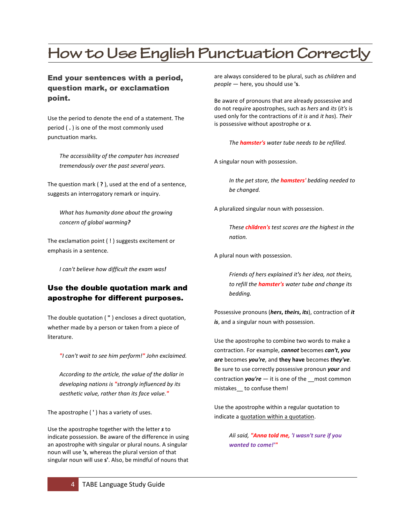# **[How to Use English Punctuation Correctly](http://www.wikihow.com/Use-English-Punctuation-Correctly)**

## End your sentences with a period, question mark, or exclamation point.

Use the period to denote the end of a statement. The period ( **.** ) is one of the most commonly used punctuation marks.

*The accessibility of the computer has increased tremendously over the past several years.*

The question mark ( **?** ), used at the end of a sentence, suggests an interrogatory remark or inquiry.

*What has humanity done about the growing concern of global warming?*

The exclamation point ( ! ) suggests excitement or emphasis in a sentence.

*I can't believe how difficult the exam was!*

## Use the double quotation mark and apostrophe for different purposes.

The double quotation ( **"** ) encloses a direct quotation, whether made by a person or taken from a piece of literature.

*"I can't wait to see him perform!" John exclaimed.*

*According to the article, the value of the dollar in developing nations is "strongly influenced by its aesthetic value, rather than its face value."*

The apostrophe ( **'** ) has a variety of uses.

Use the apostrophe together with the letter *s* to indicate possession. Be aware of the difference in using an apostrophe with singular or plural nouns. A singular noun will use **'s**, whereas the plural version of that singular noun will use **s'**. Also, be mindful of nouns that

are always considered to be plural, such as *children* and *people* — here, you should use **'s**.

Be aware of pronouns that are already possessive and do not require apostrophes, such as *hers* and *its* (*it's* is used only for the contractions of *it is* and *it has*). *Their* is possessive without apostrophe or *s*.

*The hamster's water tube needs to be refilled.*

A singular noun with possession.

*In the pet store, the hamsters' bedding needed to be changed.*

A pluralized singular noun with possession.

*These children's test scores are the highest in the nation.*

A plural noun with possession.

*Friends of hers explained it's her idea, not theirs, to refill the hamster's water tube and change its bedding.*

Possessive pronouns (*hers***,** *theirs***,** *its*), contraction of *it is*, and a singular noun with possession.

Use the apostrophe to combine two words to make a contraction. For example, *cannot* becomes *can't***,** *you are* becomes *you're*, and **they have** becomes *they've*. Be sure to use correctly possessive pronoun *your* and contraction  $you're - it$  is one of the \_most common mistakes\_\_ to confuse them!

Use the apostrophe within a regular quotation to indicate a *quotation* within a quotation.

> *Ali said, "Anna told me, 'I wasn't sure if you wanted to come!'"*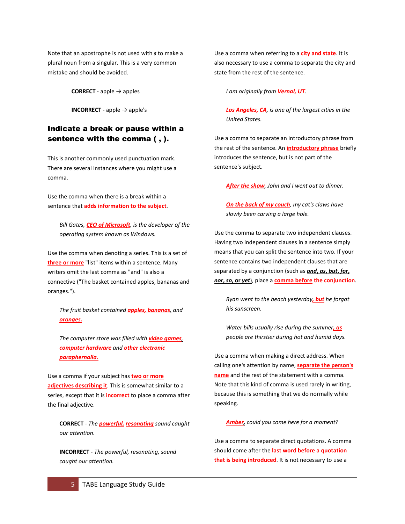Note that an apostrophe is not used with *s* to make a plural noun from a singular. This is a very common mistake and should be avoided.

**CORRECT** - apple  $\rightarrow$  apples

**INCORRECT** - apple  $\rightarrow$  apple's

### Indicate a break or pause within a sentence with the comma ( , ).

This is another commonly used punctuation mark. There are several instances where you might use a comma.

Use the comma when there is a break within a sentence that **adds information to the subject**.

*Bill Gates, CEO of Microsoft, is the developer of the operating system known as Windows.*

Use the comma when denoting a series. This is a set of **three or more** "list" items within a sentence. Many writers omit the last comma as "and" is also a connective ("The basket contained apples, bananas and oranges.").

*The fruit basket contained apples, bananas, and oranges.*

*The computer store was filled with video games, computer hardware and other electronic paraphernalia.*

Use a comma if your subject has **two or more adjectives describing it**. This is somewhat similar to a series, except that it is **incorrect** to place a comma after the final adjective.

**CORRECT** - *The powerful, resonating sound caught our attention.*

**INCORRECT** - *The powerful, resonating, sound caught our attention.*

Use a comma when referring to a **city and state**. It is also necessary to use a comma to separate the city and state from the rest of the sentence.

*I am originally from Vernal, UT.*

*Los Angeles, CA, is one of the largest cities in the United States.*

Use a comma to separate an introductory phrase from the rest of the sentence. An **introductory phrase** briefly introduces the sentence, but is not part of the sentence's subject.

*After the show, John and I went out to dinner.*

*On the back of my couch, my cat's claws have slowly been carving a large hole.*

Use the comma to separate two independent clauses. Having two independent clauses in a sentence simply means that you can split the sentence into two. If your sentence contains two independent clauses that are separated by a conjunction (such as *and***,** *as***,** *but***,** *for***,**  *nor***,** *so***, or** *yet*), place a **comma before the conjunction**.

*Ryan went to the beach yesterday, but he forgot his sunscreen.*

*Water bills usually rise during the summer, as people are thirstier during hot and humid days.*

Use a comma when making a direct address. When calling one's attention by name, **separate the person's name** and the rest of the statement with a comma. Note that this kind of comma is used rarely in writing, because this is something that we do normally while speaking.

#### *Amber, could you come here for a moment?*

Use a comma to separate direct quotations. A comma should come after the **last word before a quotation that is being introduced**. It is not necessary to use a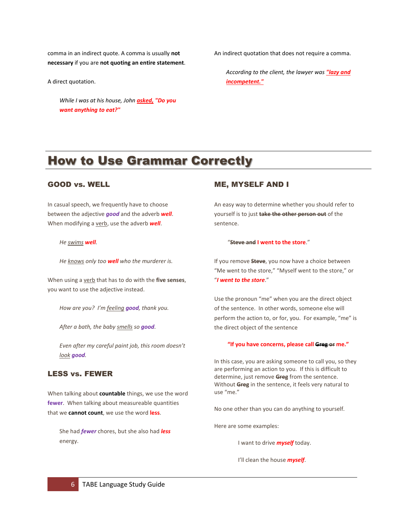comma in an indirect quote. A comma is usually **not necessary** if you are **not quoting an entire statement**.

A direct quotation.

*While I was at his house, John asked, "Do you want anything to eat?"*

An indirect quotation that does not require a comma.

*According to the client, the lawyer was "lazy and incompetent."*

# [How to Use Grammar Correctly](http://www.wikihow.com/Use-English-Punctuation-Correctly)

### GOOD vs. WELL

In casual speech, we frequently have to choose between the adjective *good* and the adverb *well*. When modifying a verb, use the adverb *well*.

#### *He swims well.*

*He knows only too well who the murderer is.*

When using a verb that has to do with the **five senses**, you want to use the adjective instead.

*How are you? I'm feeling good, thank you.*

*After a bath, the baby smells so good.*

*Even after my careful paint job, this room doesn't look good.*

### LESS vs. FEWER

When talking about **countable** things, we use the word **fewer**. When talking about measureable quantities that we **cannot count**, we use the word **less**.

She had *fewer* chores, but she also had *less* energy.

#### ME, MYSELF AND I

An easy way to determine whether you should refer to yourself is to just **take the other person out** of the sentence.

#### "**Steve and I went to the store**."

If you remove **Steve**, you now have a choice between "Me went to the store," "Myself went to the store," or "*I went to the store*."

Use the pronoun "me" when you are the direct object of the sentence. In other words, someone else will perform the action to, or for, you. For example, "me" is the direct object of the sentence

#### **"If you have concerns, please call Greg or me."**

In this case, you are asking someone to call you, so they are performing an action to you. If this is difficult to determine, just remove **Greg** from the sentence. Without **Greg** in the sentence, it feels very natural to use "me."

No one other than you can do anything to yourself.

Here are some examples:

I want to drive *myself* today.

I'll clean the house *myself*.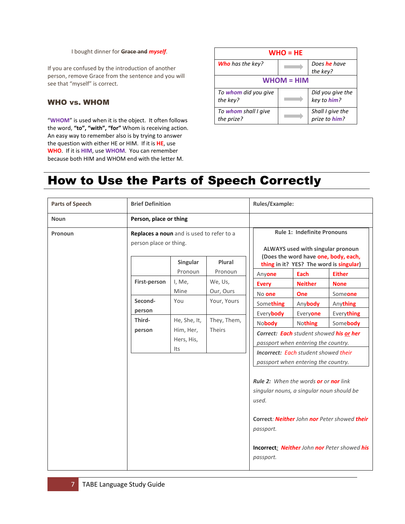#### I bought dinner for **Grace and** *myself*.

If you are confused by the introduction of another person, remove Grace from the sentence and you will see that "myself" is correct.

### WHO vs. WHOM

"**WHOM**" is used when it is the object. It often follows the word, **"to", "with", "for"** Whom is receiving action. An easy way to remember also is by trying to answer the question with either HE or HIM. If it is **HE**, use **WHO**. If it is **HIM**, use **WHOM**. You can remember because both HIM and WHOM end with the letter M.

| <b>WHO = HE</b>                    |  |                                   |  |  |
|------------------------------------|--|-----------------------------------|--|--|
| <b>Who</b> has the key?            |  | Does <b>he</b> have<br>the key?   |  |  |
| $WHOM = HIM$                       |  |                                   |  |  |
| To whom did you give<br>the key?   |  | Did you give the<br>key to him?   |  |  |
| To whom shall I give<br>the prize? |  | Shall I give the<br>prize to him? |  |  |

## How to Use the Parts of Speech Correctly

| <b>Parts of Speech</b> |              | <b>Brief Definition</b>                                             |                    |       | <b>Rules/Example:</b>                                                           |                                                                                                                                                                                                                                      |                                                                                              |  |
|------------------------|--------------|---------------------------------------------------------------------|--------------------|-------|---------------------------------------------------------------------------------|--------------------------------------------------------------------------------------------------------------------------------------------------------------------------------------------------------------------------------------|----------------------------------------------------------------------------------------------|--|
| <b>Noun</b>            |              | Person, place or thing                                              |                    |       |                                                                                 |                                                                                                                                                                                                                                      |                                                                                              |  |
| Pronoun                |              | Replaces a noun and is used to refer to a<br>person place or thing. |                    |       | <b>Rule 1: Indefinite Pronouns</b><br>ALWAYS used with singular pronoun         |                                                                                                                                                                                                                                      |                                                                                              |  |
|                        |              | Singular<br>Plural                                                  |                    |       | (Does the word have one, body, each,<br>thing in it? YES? The word is singular) |                                                                                                                                                                                                                                      |                                                                                              |  |
|                        | First-person | Pronoun<br>I, Me,                                                   | Pronoun<br>We, Us, |       | Anyone                                                                          | Each                                                                                                                                                                                                                                 | <b>Either</b>                                                                                |  |
|                        |              | Mine                                                                | Our, Ours          |       | <b>Every</b>                                                                    | <b>Neither</b>                                                                                                                                                                                                                       | <b>None</b>                                                                                  |  |
|                        | Second-      | You                                                                 | Your, Yours        |       | No one<br>Something                                                             | One<br>Anybody                                                                                                                                                                                                                       | Someone<br>Anything                                                                          |  |
|                        | person       |                                                                     |                    |       | Everybody                                                                       | Everyone                                                                                                                                                                                                                             | <b>Everything</b>                                                                            |  |
|                        | Third-       | He, She, It,                                                        | They, Them,        |       | Nobody                                                                          | Nothing                                                                                                                                                                                                                              | Somebody                                                                                     |  |
|                        | person       | Him, Her,<br>Hers, His,<br>Its                                      | Theirs             | used. |                                                                                 | passport when entering the country.<br><b>Incorrect: Each student showed their</b><br>passport when entering the country.<br><b>Rule 2:</b> When the words <b>or</b> or <b>nor</b> link<br>singular nouns, a singular noun should be | Correct: Each student showed his or her                                                      |  |
|                        |              |                                                                     |                    |       | passport.<br>passport.                                                          |                                                                                                                                                                                                                                      | Correct: Neither John nor Peter showed their<br>Incorrect: Neither John nor Peter showed his |  |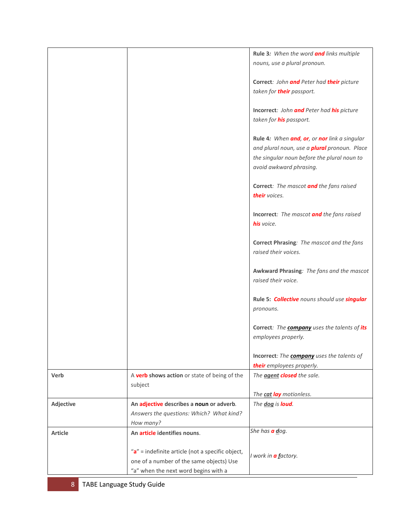|                  |                                                                                                                                          | Rule 3: When the word and links multiple<br>nouns, use a plural pronoun.                                                                                                      |
|------------------|------------------------------------------------------------------------------------------------------------------------------------------|-------------------------------------------------------------------------------------------------------------------------------------------------------------------------------|
|                  |                                                                                                                                          | Correct: John and Peter had their picture<br>taken for <b>their</b> passport.                                                                                                 |
|                  |                                                                                                                                          | Incorrect: John and Peter had his picture<br>taken for <i>his</i> passport.                                                                                                   |
|                  |                                                                                                                                          | Rule 4: When and, or, or nor link a singular<br>and plural noun, use a <i>plural</i> pronoun. Place<br>the singular noun before the plural noun to<br>avoid awkward phrasing. |
|                  |                                                                                                                                          | Correct: The mascot and the fans raised<br><b>their</b> voices.                                                                                                               |
|                  |                                                                                                                                          | Incorrect: The mascot and the fans raised<br>his voice.                                                                                                                       |
|                  |                                                                                                                                          | Correct Phrasing: The mascot and the fans<br>raised their voices.                                                                                                             |
|                  |                                                                                                                                          | Awkward Phrasing: The fans and the mascot<br>raised their voice.                                                                                                              |
|                  |                                                                                                                                          | Rule 5: Collective nouns should use singular<br>pronouns.                                                                                                                     |
|                  |                                                                                                                                          | Correct: The company uses the talents of its<br>employees properly.                                                                                                           |
|                  |                                                                                                                                          | Incorrect: The company uses the talents of<br>their employees properly.                                                                                                       |
| Verb             | A verb shows action or state of being of the<br>subject                                                                                  | The <b>agent closed</b> the sale.                                                                                                                                             |
|                  |                                                                                                                                          | The cat lay motionless.                                                                                                                                                       |
| <b>Adjective</b> | An adjective describes a noun or adverb.                                                                                                 | The dog is loud.                                                                                                                                                              |
|                  | Answers the questions: Which? What kind?                                                                                                 |                                                                                                                                                                               |
|                  | How many?                                                                                                                                |                                                                                                                                                                               |
| <b>Article</b>   | An article identifies nouns.                                                                                                             | She has a dog.                                                                                                                                                                |
|                  | " $a$ " = indefinite article (not a specific object,<br>one of a number of the same objects) Use<br>"a" when the next word begins with a | I work in a factory.                                                                                                                                                          |
|                  |                                                                                                                                          |                                                                                                                                                                               |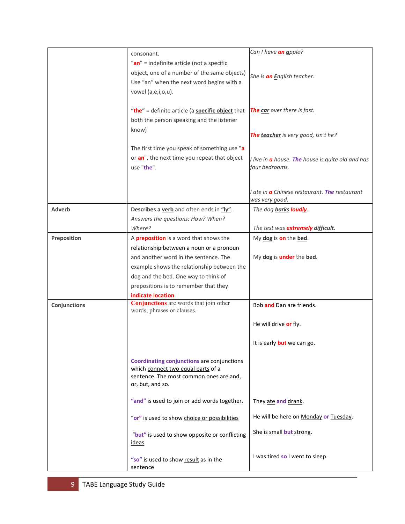|               | consonant.                                        | Can I have an apple?                                        |
|---------------|---------------------------------------------------|-------------------------------------------------------------|
|               | "an" = indefinite article (not a specific         |                                                             |
|               |                                                   |                                                             |
|               | object, one of a number of the same objects)      | She is an English teacher.                                  |
|               | Use "an" when the next word begins with a         |                                                             |
|               | vowel (a,e,i,o,u).                                |                                                             |
|               |                                                   |                                                             |
|               | "the" = definite article (a specific object that  | The car over there is fast.                                 |
|               | both the person speaking and the listener         |                                                             |
|               | know)                                             |                                                             |
|               |                                                   | The teacher is very good, isn't he?                         |
|               | The first time you speak of something use "a      |                                                             |
|               | or an", the next time you repeat that object      |                                                             |
|               |                                                   | I live in <i>a</i> house. The house is quite old and has    |
|               | use "the".                                        | four bedrooms.                                              |
|               |                                                   |                                                             |
|               |                                                   | I ate in <b>a</b> Chinese restaurant. <b>The</b> restaurant |
|               |                                                   | was very good.                                              |
| <b>Adverb</b> | Describes a verb and often ends in "ly".          | The dog barks loudly.                                       |
|               | Answers the questions: How? When?                 |                                                             |
|               | Where?                                            | The test was <b>extremely difficult</b> .                   |
| Preposition   | A preposition is a word that shows the            | My dog is on the bed.                                       |
|               |                                                   |                                                             |
|               | relationship between a noun or a pronoun          |                                                             |
|               | and another word in the sentence. The             | My dog is under the bed.                                    |
|               | example shows the relationship between the        |                                                             |
|               | dog and the bed. One way to think of              |                                                             |
|               | prepositions is to remember that they             |                                                             |
|               | indicate location.                                |                                                             |
| Conjunctions  | <b>Conjunctions</b> are words that join other     | Bob and Dan are friends.                                    |
|               | words, phrases or clauses.                        |                                                             |
|               |                                                   | He will drive or fly.                                       |
|               |                                                   |                                                             |
|               |                                                   | It is early but we can go.                                  |
|               |                                                   |                                                             |
|               | <b>Coordinating conjunctions are conjunctions</b> |                                                             |
|               | which connect two equal parts of a                |                                                             |
|               | sentence. The most common ones are and,           |                                                             |
|               | or, but, and so.                                  |                                                             |
|               |                                                   |                                                             |
|               | "and" is used to join or add words together.      | They ate and drank.                                         |
|               |                                                   |                                                             |
|               | "or" is used to show choice or possibilities      | He will be here on Monday or Tuesday.                       |
|               | "but" is used to show opposite or conflicting     | She is small but strong.                                    |
|               | ideas                                             |                                                             |
|               |                                                   |                                                             |
|               | "so" is used to show result as in the             | I was tired so I went to sleep.                             |
|               | sentence                                          |                                                             |
|               |                                                   |                                                             |